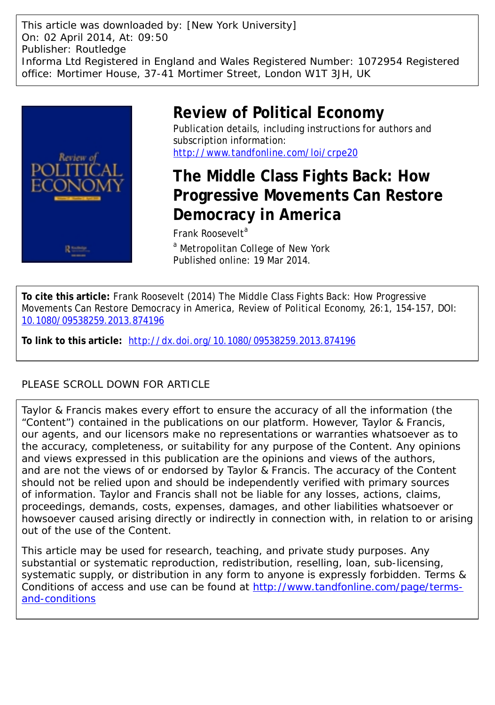This article was downloaded by: [New York University] On: 02 April 2014, At: 09:50 Publisher: Routledge Informa Ltd Registered in England and Wales Registered Number: 1072954 Registered office: Mortimer House, 37-41 Mortimer Street, London W1T 3JH, UK



## **Review of Political Economy**

Publication details, including instructions for authors and subscription information: <http://www.tandfonline.com/loi/crpe20>

# **The Middle Class Fights Back: How Progressive Movements Can Restore Democracy in America**

Frank Roosevelt<sup>a</sup> <sup>a</sup> Metropolitan College of New York Published online: 19 Mar 2014.

**To cite this article:** Frank Roosevelt (2014) The Middle Class Fights Back: How Progressive Movements Can Restore Democracy in America, Review of Political Economy, 26:1, 154-157, DOI: [10.1080/09538259.2013.874196](http://www.tandfonline.com/action/showCitFormats?doi=10.1080/09538259.2013.874196)

**To link to this article:** <http://dx.doi.org/10.1080/09538259.2013.874196>

## PLEASE SCROLL DOWN FOR ARTICLE

Taylor & Francis makes every effort to ensure the accuracy of all the information (the "Content") contained in the publications on our platform. However, Taylor & Francis, our agents, and our licensors make no representations or warranties whatsoever as to the accuracy, completeness, or suitability for any purpose of the Content. Any opinions and views expressed in this publication are the opinions and views of the authors, and are not the views of or endorsed by Taylor & Francis. The accuracy of the Content should not be relied upon and should be independently verified with primary sources of information. Taylor and Francis shall not be liable for any losses, actions, claims, proceedings, demands, costs, expenses, damages, and other liabilities whatsoever or howsoever caused arising directly or indirectly in connection with, in relation to or arising out of the use of the Content.

This article may be used for research, teaching, and private study purposes. Any substantial or systematic reproduction, redistribution, reselling, loan, sub-licensing, systematic supply, or distribution in any form to anyone is expressly forbidden. Terms & Conditions of access and use can be found at [http://www.tandfonline.com/page/terms](http://www.tandfonline.com/page/terms-and-conditions)[and-conditions](http://www.tandfonline.com/page/terms-and-conditions)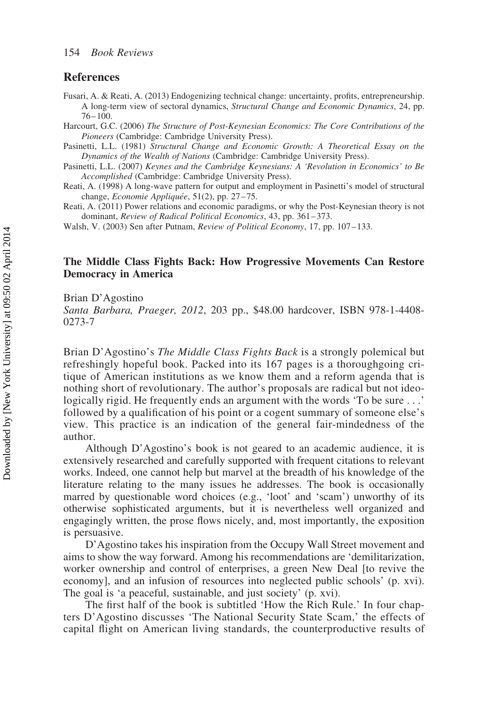#### References

- Fusari, A. & Reati, A. (2013) Endogenizing technical change: uncertainty, profits, entrepreneurship. A long-term view of sectoral dynamics, Structural Change and Economic Dynamics, 24, pp. 76–100.
- Harcourt, G.C. (2006) The Structure of Post-Keynesian Economics: The Core Contributions of the Pioneers (Cambridge: Cambridge University Press).
- Pasinetti, L.L. (1981) Structural Change and Economic Growth: A Theoretical Essay on the Dynamics of the Wealth of Nations (Cambridge: Cambridge University Press).
- Pasinetti, L.L. (2007) Keynes and the Cambridge Keynesians: A 'Revolution in Economics' to Be Accomplished (Cambridge: Cambridge University Press).
- Reati, A. (1998) A long-wave pattern for output and employment in Pasinetti's model of structural change, Economie Appliquée, 51(2), pp. 27-75.

Reati, A. (2011) Power relations and economic paradigms, or why the Post-Keynesian theory is not dominant, Review of Radical Political Economics, 43, pp. 361–373.

Walsh, V. (2003) Sen after Putnam, Review of Political Economy, 17, pp. 107–133.

### The Middle Class Fights Back: How Progressive Movements Can Restore Democracy in America

Brian D'Agostino

Santa Barbara, Praeger, 2012, 203 pp., \$48.00 hardcover, ISBN 978-1-4408- 0273-7

Brian D'Agostino's *The Middle Class Fights Back* is a strongly polemical but refreshingly hopeful book. Packed into its 167 pages is a thoroughgoing critique of American institutions as we know them and a reform agenda that is nothing short of revolutionary. The author's proposals are radical but not ideologically rigid. He frequently ends an argument with the words 'To be sure . . .' followed by a qualification of his point or a cogent summary of someone else's view. This practice is an indication of the general fair-mindedness of the author.

Although D'Agostino's book is not geared to an academic audience, it is extensively researched and carefully supported with frequent citations to relevant works. Indeed, one cannot help but marvel at the breadth of his knowledge of the literature relating to the many issues he addresses. The book is occasionally marred by questionable word choices (e.g., 'loot' and 'scam') unworthy of its otherwise sophisticated arguments, but it is nevertheless well organized and engagingly written, the prose flows nicely, and, most importantly, the exposition is persuasive.

D'Agostino takes his inspiration from the Occupy Wall Street movement and aims to show the way forward. Among his recommendations are 'demilitarization, worker ownership and control of enterprises, a green New Deal [to revive the economy], and an infusion of resources into neglected public schools' (p. xvi). The goal is 'a peaceful, sustainable, and just society' (p. xvi).

The first half of the book is subtitled 'How the Rich Rule.' In four chapters D'Agostino discusses 'The National Security State Scam,' the effects of capital flight on American living standards, the counterproductive results of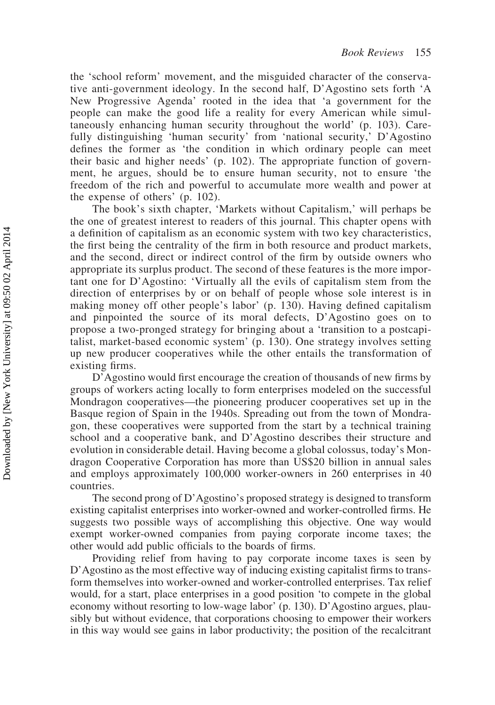the 'school reform' movement, and the misguided character of the conservative anti-government ideology. In the second half, D'Agostino sets forth 'A New Progressive Agenda' rooted in the idea that 'a government for the people can make the good life a reality for every American while simultaneously enhancing human security throughout the world' (p. 103). Carefully distinguishing 'human security' from 'national security,' D'Agostino defines the former as 'the condition in which ordinary people can meet their basic and higher needs' (p. 102). The appropriate function of government, he argues, should be to ensure human security, not to ensure 'the freedom of the rich and powerful to accumulate more wealth and power at the expense of others' (p. 102).

The book's sixth chapter, 'Markets without Capitalism,' will perhaps be the one of greatest interest to readers of this journal. This chapter opens with a definition of capitalism as an economic system with two key characteristics, the first being the centrality of the firm in both resource and product markets, and the second, direct or indirect control of the firm by outside owners who appropriate its surplus product. The second of these features is the more important one for D'Agostino: 'Virtually all the evils of capitalism stem from the direction of enterprises by or on behalf of people whose sole interest is in making money off other people's labor' (p. 130). Having defined capitalism and pinpointed the source of its moral defects, D'Agostino goes on to propose a two-pronged strategy for bringing about a 'transition to a postcapitalist, market-based economic system' (p. 130). One strategy involves setting up new producer cooperatives while the other entails the transformation of existing firms.

D'Agostino would first encourage the creation of thousands of new firms by groups of workers acting locally to form enterprises modeled on the successful Mondragon cooperatives—the pioneering producer cooperatives set up in the Basque region of Spain in the 1940s. Spreading out from the town of Mondragon, these cooperatives were supported from the start by a technical training school and a cooperative bank, and D'Agostino describes their structure and evolution in considerable detail. Having become a global colossus, today's Mondragon Cooperative Corporation has more than US\$20 billion in annual sales and employs approximately 100,000 worker-owners in 260 enterprises in 40 countries.

The second prong of D'Agostino's proposed strategy is designed to transform existing capitalist enterprises into worker-owned and worker-controlled firms. He suggests two possible ways of accomplishing this objective. One way would exempt worker-owned companies from paying corporate income taxes; the other would add public officials to the boards of firms.

Providing relief from having to pay corporate income taxes is seen by D'Agostino as the most effective way of inducing existing capitalist firms to transform themselves into worker-owned and worker-controlled enterprises. Tax relief would, for a start, place enterprises in a good position 'to compete in the global economy without resorting to low-wage labor' (p. 130). D'Agostino argues, plausibly but without evidence, that corporations choosing to empower their workers in this way would see gains in labor productivity; the position of the recalcitrant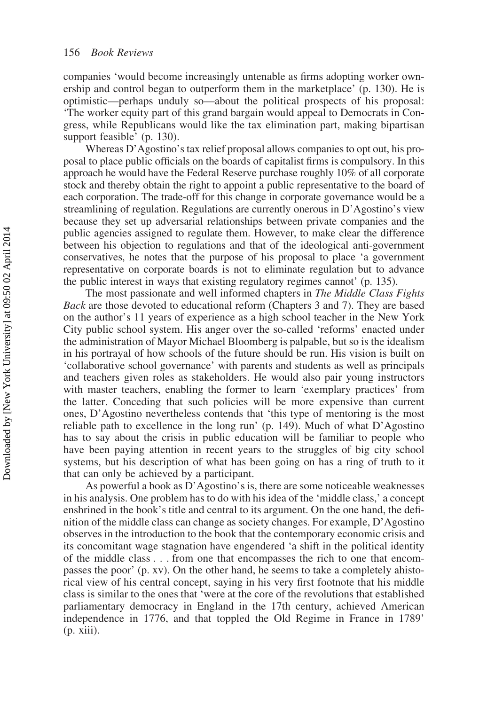companies 'would become increasingly untenable as firms adopting worker ownership and control began to outperform them in the marketplace' (p. 130). He is optimistic—perhaps unduly so—about the political prospects of his proposal: 'The worker equity part of this grand bargain would appeal to Democrats in Congress, while Republicans would like the tax elimination part, making bipartisan support feasible' (p. 130).

Whereas D'Agostino's tax relief proposal allows companies to opt out, his proposal to place public officials on the boards of capitalist firms is compulsory. In this approach he would have the Federal Reserve purchase roughly 10% of all corporate stock and thereby obtain the right to appoint a public representative to the board of each corporation. The trade-off for this change in corporate governance would be a streamlining of regulation. Regulations are currently onerous in D'Agostino's view because they set up adversarial relationships between private companies and the public agencies assigned to regulate them. However, to make clear the difference between his objection to regulations and that of the ideological anti-government conservatives, he notes that the purpose of his proposal to place 'a government representative on corporate boards is not to eliminate regulation but to advance the public interest in ways that existing regulatory regimes cannot' (p. 135).

The most passionate and well informed chapters in The Middle Class Fights Back are those devoted to educational reform (Chapters 3 and 7). They are based on the author's 11 years of experience as a high school teacher in the New York City public school system. His anger over the so-called 'reforms' enacted under the administration of Mayor Michael Bloomberg is palpable, but so is the idealism in his portrayal of how schools of the future should be run. His vision is built on 'collaborative school governance' with parents and students as well as principals and teachers given roles as stakeholders. He would also pair young instructors with master teachers, enabling the former to learn 'exemplary practices' from the latter. Conceding that such policies will be more expensive than current ones, D'Agostino nevertheless contends that 'this type of mentoring is the most reliable path to excellence in the long run' (p. 149). Much of what D'Agostino has to say about the crisis in public education will be familiar to people who have been paying attention in recent years to the struggles of big city school systems, but his description of what has been going on has a ring of truth to it that can only be achieved by a participant.

As powerful a book as D'Agostino's is, there are some noticeable weaknesses in his analysis. One problem has to do with his idea of the 'middle class,' a concept enshrined in the book's title and central to its argument. On the one hand, the definition of the middle class can change as society changes. For example, D'Agostino observes in the introduction to the book that the contemporary economic crisis and its concomitant wage stagnation have engendered 'a shift in the political identity of the middle class . . . from one that encompasses the rich to one that encompasses the poor' (p. xv). On the other hand, he seems to take a completely ahistorical view of his central concept, saying in his very first footnote that his middle class is similar to the ones that 'were at the core of the revolutions that established parliamentary democracy in England in the 17th century, achieved American independence in 1776, and that toppled the Old Regime in France in 1789'  $(p. xiii)$ .